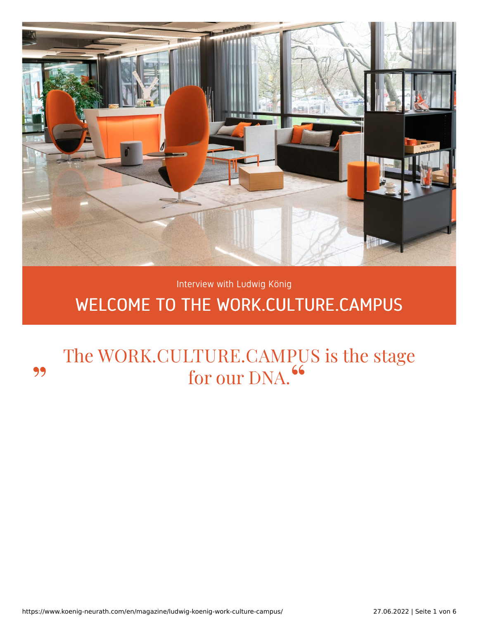

# Interview with Ludwig König

# WELCOME TO THE WORK.CULTURE.CAMPUS

# The WORK.CULTURE.CAMPUS is the stage for our DNA. 99 "

https://www.koenig-neurath.com/en/magazine/ludwig-koenig-work-culture-campus/ 27.06.2022 | Seite 1 von 6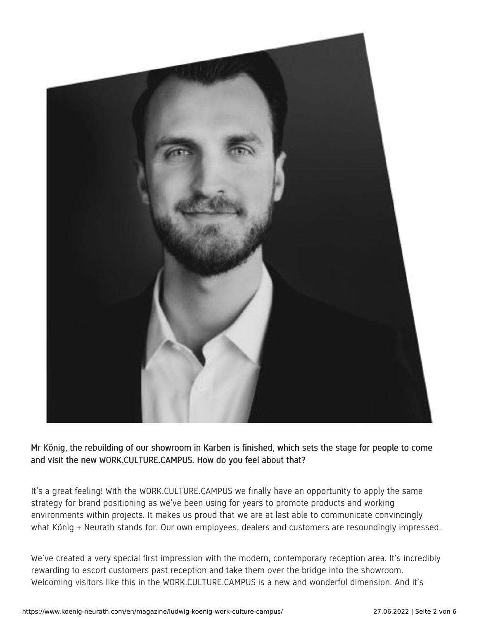

Mr König, the rebuilding of our showroom in Karben is finished, which sets the stage for people to come and visit the new WORK.CULTURE.CAMPUS. How do you feel about that?

It's a great feeling! With the WORK.CULTURE.CAMPUS we finally have an opportunity to apply the same strategy for brand positioning as we've been using for years to promote products and working environments within projects. It makes us proud that we are at last able to communicate convincingly what König + Neurath stands for. Our own employees, dealers and customers are resoundingly impressed.

We've created a very special first impression with the modern, contemporary reception area. It's incredibly rewarding to escort customers past reception and take them over the bridge into the showroom. Welcoming visitors like this in the WORK.CULTURE.CAMPUS is a new and wonderful dimension. And it's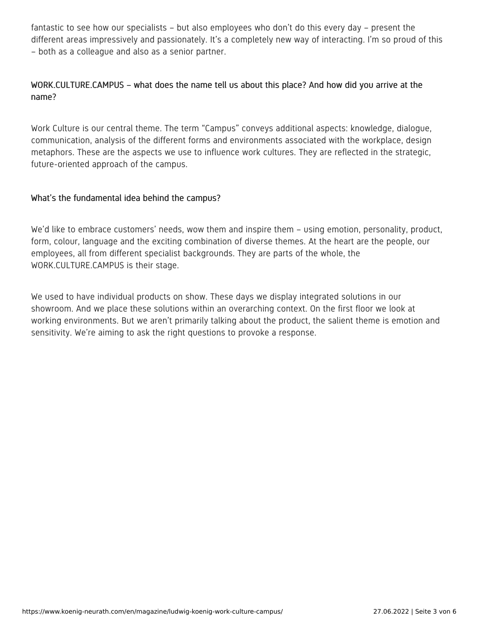fantastic to see how our specialists – but also employees who don't do this every day – present the different areas impressively and passionately. It's a completely new way of interacting. I'm so proud of this – both as a colleague and also as a senior partner.

## WORK.CULTURE.CAMPUS – what does the name tell us about this place? And how did you arrive at the name?

Work Culture is our central theme. The term "Campus" conveys additional aspects: knowledge, dialogue, communication, analysis of the different forms and environments associated with the workplace, design metaphors. These are the aspects we use to influence work cultures. They are reflected in the strategic, future-oriented approach of the campus.

## What's the fundamental idea behind the campus?

We'd like to embrace customers' needs, wow them and inspire them – using emotion, personality, product, form, colour, language and the exciting combination of diverse themes. At the heart are the people, our employees, all from different specialist backgrounds. They are parts of the whole, the WORK.CULTURE.CAMPUS is their stage.

We used to have individual products on show. These days we display integrated solutions in our showroom. And we place these solutions within an overarching context. On the first floor we look at working environments. But we aren't primarily talking about the product, the salient theme is emotion and sensitivity. We're aiming to ask the right questions to provoke a response.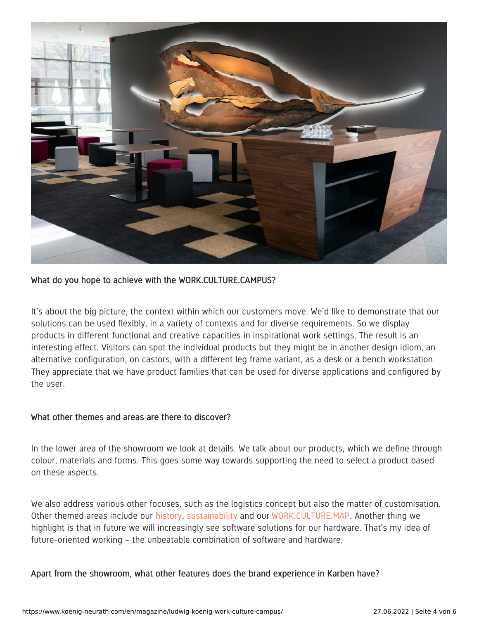![](_page_3_Picture_0.jpeg)

#### What do you hope to achieve with the WORK.CULTURE.CAMPUS?

It's about the big picture, the context within which our customers move. We'd like to demonstrate that our solutions can be used flexibly, in a variety of contexts and for diverse requirements. So we display products in different functional and creative capacities in inspirational work settings. The result is an interesting effect. Visitors can spot the individual products but they might be in another design idiom, an alternative configuration, on castors, with a different leg frame variant, as a desk or a bench workstation. They appreciate that we have product families that can be used for diverse applications and configured by the user.

#### What other themes and areas are there to discover?

In the lower area of the showroom we look at details. We talk about our products, which we define through colour, materials and forms. This goes some way towards supporting the need to select a product based on these aspects.

We also address various other focuses, such as the logistics concept but also the matter of customisation. Other themed areas include our [history](https://www.koenig-neurath.com/en/about-us/history), [sustainability](https://www.koenig-neurath.com/en/about-us/sustainability) and our [WORK.CULTURE.MAP](https://workculturemap.koenig-neurath.com/en/home). Another thing we highlight is that in future we will increasingly see software solutions for our hardware. That's my idea of future-oriented working – the unbeatable combination of software and hardware.

Apart from the showroom, what other features does the brand experience in Karben have?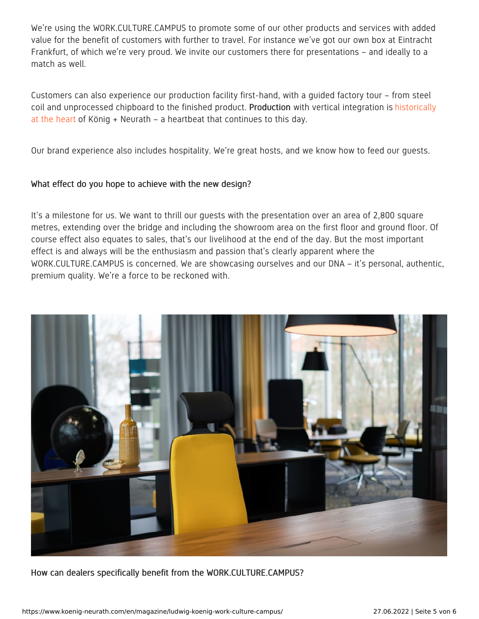We're using the WORK.CULTURE.CAMPUS to promote some of our other products and services with added value for the benefit of customers with further to travel. For instance we've got our own box at Eintracht Frankfurt, of which we're very proud. We invite our customers there for presentations – and ideally to a match as well.

Customers can also experience our production facility first-hand, with a guided factory tour – from steel coil and [unprocessed](https://www.koenig-neurath.com/en/about-us/production) chipboard to the finished product. Production with vertical integration is historically at the heart of König + Neurath – a heartbeat that continues to this day.

Our brand experience also includes hospitality. We're great hosts, and we know how to feed our guests.

#### What effect do you hope to achieve with the new design?

It's a milestone for us. We want to thrill our guests with the presentation over an area of 2,800 square metres, extending over the bridge and including the showroom area on the first floor and ground floor. Of course effect also equates to sales, that's our livelihood at the end of the day. But the most important effect is and always will be the enthusiasm and passion that's clearly apparent where the WORK.CULTURE.CAMPUS is concerned. We are showcasing ourselves and our DNA – it's personal, authentic, premium quality. We're a force to be reckoned with.

![](_page_4_Picture_5.jpeg)

How can dealers specifically benefit from the WORK.CULTURE.CAMPUS?